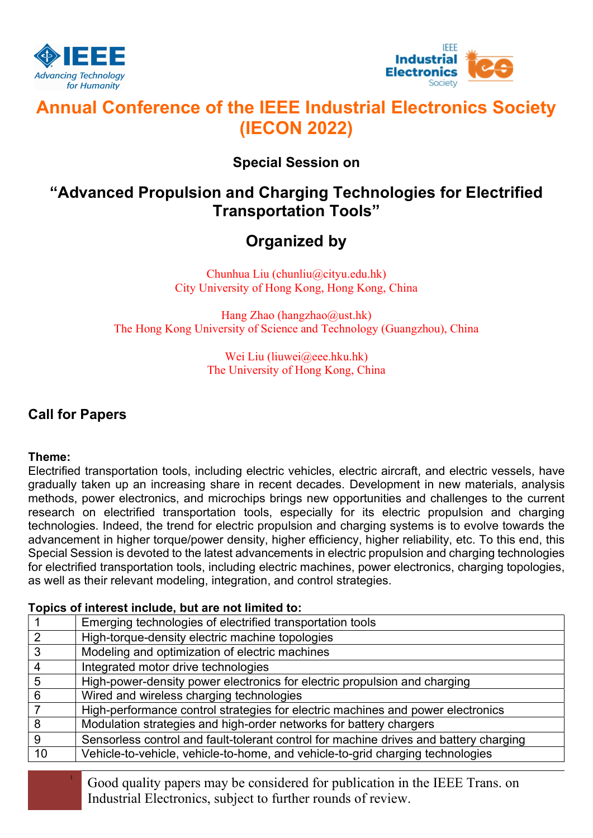



# Annual Conference of the IEEE Industrial Electronics Society (IECON 2022)

## Special Session on

## "Advanced Propulsion and Charging Technologies for Electrified Transportation Tools"

# Organized by

Chunhua Liu (chunliu@cityu.edu.hk) City University of Hong Kong, Hong Kong, China

Hang Zhao (hangzhao@ust.hk) The Hong Kong University of Science and Technology (Guangzhou), China

> Wei Liu (liuwei@eee.hku.hk) The University of Hong Kong, China

### Call for Papers

### Theme:

Electrified transportation tools, including electric vehicles, electric aircraft, and electric vessels, have gradually taken up an increasing share in recent decades. Development in new materials, analysis methods, power electronics, and microchips brings new opportunities and challenges to the current research on electrified transportation tools, especially for its electric propulsion and charging technologies. Indeed, the trend for electric propulsion and charging systems is to evolve towards the advancement in higher torque/power density, higher efficiency, higher reliability, etc. To this end, this Special Session is devoted to the latest advancements in electric propulsion and charging technologies for electrified transportation tools, including electric machines, power electronics, charging topologies, as well as their relevant modeling, integration, and control strategies.

### Topics of interest include, but are not limited to:

|    | Emerging technologies of electrified transportation tools                             |
|----|---------------------------------------------------------------------------------------|
| 2  | High-torque-density electric machine topologies                                       |
| 3  | Modeling and optimization of electric machines                                        |
| 4  | Integrated motor drive technologies                                                   |
| 5  | High-power-density power electronics for electric propulsion and charging             |
| 6  | Wired and wireless charging technologies                                              |
|    | High-performance control strategies for electric machines and power electronics       |
| 8  | Modulation strategies and high-order networks for battery chargers                    |
| 9  | Sensorless control and fault-tolerant control for machine drives and battery charging |
| 10 | Vehicle-to-vehicle, vehicle-to-home, and vehicle-to-grid charging technologies        |
|    |                                                                                       |

<sup>1</sup> Good quality papers may be considered for publication in the IEEE Trans. on Industrial Electronics, subject to further rounds of review.